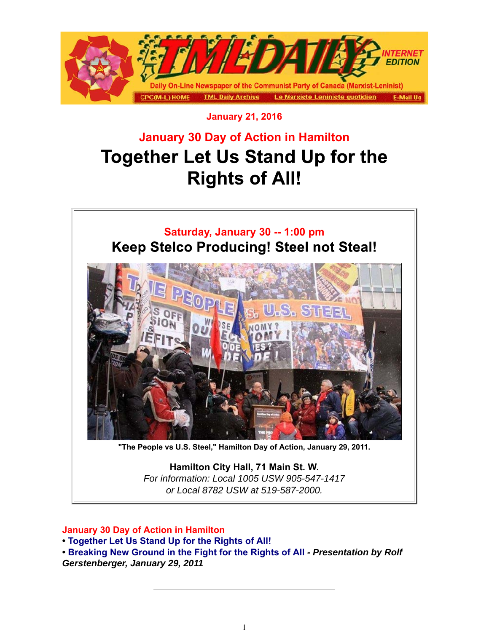

### **January 21, 2016**

# **January 30 Day of Action in Hamilton Together Let Us Stand Up for the Rights of All!**

### **Saturday, January 30 -- 1:00 pm Keep Stelco Producing! Steel not Steal!**



**"The People vs U.S. Steel," Hamilton Day of Action, January 29, 2011.**

**Hamilton City Hall, 71 Main St. W.** *For information: Local 1005 USW 905-547-1417 or Local 8782 USW at 519-587-2000.*

#### **January 30 Day of Action in Hamilton**

**• Together Let Us Stand Up for the Rights of All!**

**• Breaking New Ground in the Fight for the Rights of All** *- Presentation by Rolf Gerstenberger, January 29, 2011*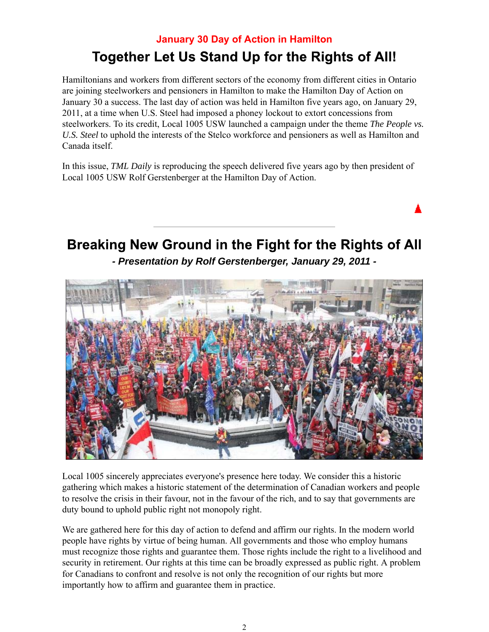### **January 30 Day of Action in Hamilton** Together Let Us Stand Up for the Rights of All!

Hamiltonians and workers from different sectors of the economy from different cities in Ontario are joining steelworkers and pensioners in Hamilton to make the Hamilton Day of Action on January 30 a success. The last day of action was held in Hamilton five years ago, on January 29, 2011, at a time when U.S. Steel had imposed a phoney lockout to extort concessions from steelworkers. To its credit, Local 1005 USW launched a campaign under the theme *The People vs. U.S. Steel* to uphold the interests of the Stelco workforce and pensioners as well as Hamilton and Canada itself.

In this issue, *TML Daily* is reproducing the speech delivered five years ago by then president of Local 1005 USW Rolf Gerstenberger at the Hamilton Day of Action.

## Breaking New Ground in the Fight for the Rights of All *- Presentation by Rolf Gerstenberger, January 29, 2011 -*



Local 1005 sincerely appreciates everyone's presence here today. We consider this a historic gathering which makes a historic statement of the determination of Canadian workers and people to resolve the crisis in their favour, not in the favour of the rich, and to say that governments are duty bound to uphold public right not monopoly right.

We are gathered here for this day of action to defend and affirm our rights. In the modern world people have rights by virtue of being human. All governments and those who employ humans must recognize those rights and guarantee them. Those rights include the right to a livelihood and security in retirement. Our rights at this time can be broadly expressed as public right. A problem for Canadians to confront and resolve is not only the recognition of our rights but more importantly how to affirm and guarantee them in practice.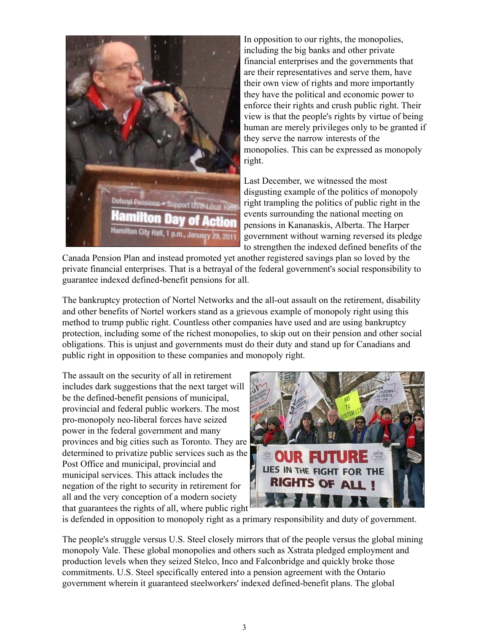

In opposition to our rights, the monopolies, including the big banks and other private financial enterprises and the governments that are their representatives and serve them, have their own view of rights and more importantly they have the political and economic power to enforce their rights and crush public right. Their view is that the people's rights by virtue of being human are merely privileges only to be granted if they serve the narrow interests of the monopolies. This can be expressed as monopoly right.

Last December, we witnessed the most disgusting example of the politics of monopoly right trampling the politics of public right in the events surrounding the national meeting on pensions in Kananaskis, Alberta. The Harper government without warning reversed its pledge to strengthen the indexed defined benefits of the

Canada Pension Plan and instead promoted yet another registered savings plan so loved by the private financial enterprises. That is a betrayal of the federal government's social responsibility to guarantee indexed defined-benefit pensions for all.

The bankruptcy protection of Nortel Networks and the all-out assault on the retirement, disability and other benefits of Nortel workers stand as a grievous example of monopoly right using this method to trump public right. Countless other companies have used and are using bankruptcy protection, including some of the richest monopolies, to skip out on their pension and other social obligations. This is unjust and governments must do their duty and stand up for Canadians and public right in opposition to these companies and monopoly right.

The assault on the security of all in retirement includes dark suggestions that the next target will be the defined-benefit pensions of municipal, provincial and federal public workers. The most pro-monopoly neo-liberal forces have seized power in the federal government and many provinces and big cities such as Toronto. They are determined to privatize public services such as the Post Office and municipal, provincial and municipal services. This attack includes the negation of the right to security in retirement for all and the very conception of a modern society that guarantees the rights of all, where public right



is defended in opposition to monopoly right as a primary responsibility and duty of government.

The people's struggle versus U.S. Steel closely mirrors that of the people versus the global mining monopoly Vale. These global monopolies and others such as Xstrata pledged employment and production levels when they seized Stelco, Inco and Falconbridge and quickly broke those commitments. U.S. Steel specifically entered into a pension agreement with the Ontario government wherein it guaranteed steelworkers' indexed defined-benefit plans. The global